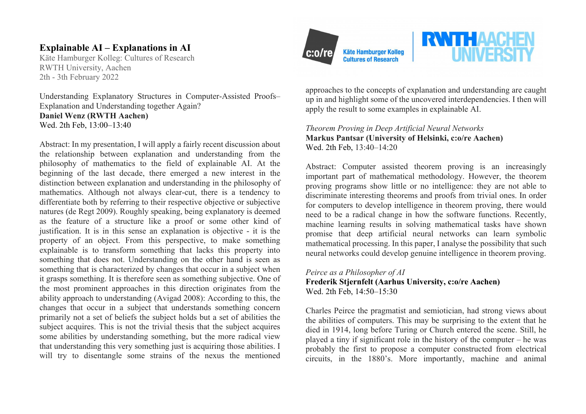# **Explainable AI – Explanations in AI**

Käte Hamburger Kolleg: Cultures of Research RWTH University, Aachen 2th - 3th February 2022

Understanding Explanatory Structures in Computer-Assisted Proofs– Explanation and Understanding together Again? **Daniel Wenz (RWTH Aachen)** Wed. 2th Feb, 13:00–13:40

Abstract: In my presentation, I will apply a fairly recent discussion about the relationship between explanation and understanding from the philosophy of mathematics to the field of explainable AI. At the beginning of the last decade, there emerged a new interest in the distinction between explanation and understanding in the philosophy of mathematics. Although not always clear-cut, there is a tendency to differentiate both by referring to their respective objective or subjective natures (de Regt 2009). Roughly speaking, being explanatory is deemed as the feature of a structure like a proof or some other kind of justification. It is in this sense an explanation is objective - it is the property of an object. From this perspective, to make something explainable is to transform something that lacks this property into something that does not. Understanding on the other hand is seen as something that is characterized by changes that occur in a subject when it grasps something. It is therefore seen as something subjective. One of the most prominent approaches in this direction originates from the ability approach to understanding (Avigad 2008): According to this, the changes that occur in a subject that understands something concern primarily not a set of beliefs the subject holds but a set of abilities the subject acquires. This is not the trivial thesis that the subject acquires some abilities by understanding something, but the more radical view that understanding this very something just is acquiring those abilities. I will try to disentangle some strains of the nexus the mentioned



**Käte Hamburger Kolleg Cultures of Research** 



approaches to the concepts of explanation and understanding are caught up in and highlight some of the uncovered interdependencies. I then will apply the result to some examples in explainable AI.

## *Theorem Proving in Deep Artificial Neural Networks* **Markus Pantsar (University of Helsinki, c:o/re Aachen)** Wed. 2th Feb, 13:40–14:20

Abstract: Computer assisted theorem proving is an increasingly important part of mathematical methodology. However, the theorem proving programs show little or no intelligence: they are not able to discriminate interesting theorems and proofs from trivial ones. In order for computers to develop intelligence in theorem proving, there would need to be a radical change in how the software functions. Recently, machine learning results in solving mathematical tasks have shown promise that deep artificial neural networks can learn symbolic mathematical processing. In this paper, I analyse the possibility that such neural networks could develop genuine intelligence in theorem proving.

## *Peirce as a Philosopher of AI* **Frederik Stjernfelt (Aarhus University, c:o/re Aachen)** Wed. 2th Feb, 14:50–15:30

Charles Peirce the pragmatist and semiotician, had strong views about the abilities of computers. This may be surprising to the extent that he died in 1914, long before Turing or Church entered the scene. Still, he played a tiny if significant role in the history of the computer – he was probably the first to propose a computer constructed from electrical circuits, in the 1880's. More importantly, machine and animal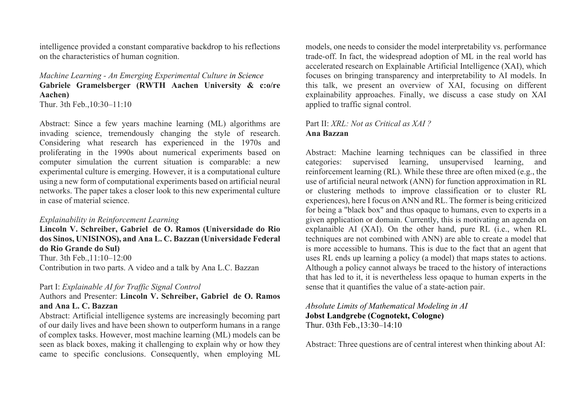intelligence provided a constant comparative backdrop to his reflections on the characteristics of human cognition.

# *Machine Learning - An Emerging Experimental Culture in Science* **Gabriele Gramelsberger (RWTH Aachen University & c:o/re Aachen)**

Thur. 3th Feb.,10:30–11:10

Abstract: Since a few years machine learning (ML) algorithms are invading science, tremendously changing the style of research. Considering what research has experienced in the 1970s and proliferating in the 1990s about numerical experiments based on computer simulation the current situation is comparable: a new experimental culture is emerging. However, it is a computational culture using a new form of computational experiments based on artificial neural networks. The paper takes a closer look to this new experimental culture in case of material science.

#### *Explainability in Reinforcement Learning*

**Lincoln V. Schreiber, Gabriel de O. Ramos (Universidade do Rio dos Sinos, UNISINOS), and Ana L. C. Bazzan (Universidade Federal do Rio Grande do Sul)** Thur. 3th Feb.,11:10–12:00 Contribution in two parts. A video and a talk by Ana L.C. Bazzan

### Part I: *Explainable AI for Traffic Signal Control*

Authors and Presenter: **Lincoln V. Schreiber, Gabriel de O. Ramos and Ana L. C. Bazzan**

Abstract: Artificial intelligence systems are increasingly becoming part of our daily lives and have been shown to outperform humans in a range of complex tasks. However, most machine learning (ML) models can be seen as black boxes, making it challenging to explain why or how they came to specific conclusions. Consequently, when employing ML models, one needs to consider the model interpretability vs. performance trade-off. In fact, the widespread adoption of ML in the real world has accelerated research on Explainable Artificial Intelligence (XAI), which focuses on bringing transparency and interpretability to AI models. In this talk, we present an overview of XAI, focusing on different explainability approaches. Finally, we discuss a case study on XAI applied to traffic signal control.

# Part II: *XRL: Not as Critical as XAI ?* **Ana Bazzan**

Abstract: Machine learning techniques can be classified in three categories: supervised learning, unsupervised learning, and reinforcement learning (RL). While these three are often mixed (e.g., the use of artificial neural network (ANN) for function approximation in RL or clustering methods to improve classification or to cluster RL experiences), here I focus on ANN and RL. The former is being criticized for being a "black box" and thus opaque to humans, even to experts in a given application or domain. Currently, this is motivating an agenda on explanaible AI (XAI). On the other hand, pure RL (i.e., when RL techniques are not combined with ANN) are able to create a model that is more accessible to humans. This is due to the fact that an agent that uses RL ends up learning a policy (a model) that maps states to actions. Although a policy cannot always be traced to the history of interactions that has led to it, it is nevertheless less opaque to human experts in the sense that it quantifies the value of a state-action pair.

#### *Absolute Limits of Mathematical Modeling in AI* **Jobst Landgrebe (Cognotekt, Cologne)** Thur. 03th Feb.,13:30–14:10

Abstract: Three questions are of central interest when thinking about AI: